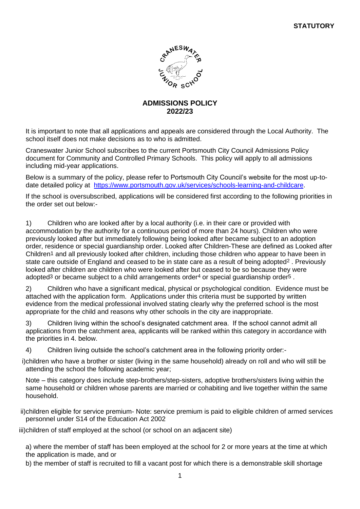

# **ADMISSIONS POLICY 2022/23**

It is important to note that all applications and appeals are considered through the Local Authority. The school itself does not make decisions as to who is admitted.

Craneswater Junior School subscribes to the current Portsmouth City Council Admissions Policy document for Community and Controlled Primary Schools. This policy will apply to all admissions including mid-year applications.

Below is a summary of the policy, please refer to Portsmouth City Council's website for the most up-todate detailed policy at [https://www.portsmouth.gov.uk/services/schools-learning-and-childcare.](https://www.portsmouth.gov.uk/services/schools-learning-and-childcare/schools/admissions/school-admissions-policies/)

If the school is oversubscribed, applications will be considered first according to the following priorities in the order set out below:-

1) Children who are looked after by a local authority (i.e. in their care or provided with accommodation by the authority for a continuous period of more than 24 hours). Children who were previously looked after but immediately following being looked after became subject to an adoption order, residence or special guardianship order. Looked after Children-These are defined as Looked after Children<sup>1</sup> and all previously looked after children, including those children who appear to have been in state care outside of England and ceased to be in state care as a result of being adopted<sup>2</sup>. Previously looked after children are children who were looked after but ceased to be so because they were adopted<sup>3</sup> or became subject to a child arrangements order<sup>4</sup> or special guardianship order<sup>5</sup>.

2) Children who have a significant medical, physical or psychological condition. Evidence must be attached with the application form. Applications under this criteria must be supported by written evidence from the medical professional involved stating clearly why the preferred school is the most appropriate for the child and reasons why other schools in the city are inappropriate.

3) Children living within the school's designated catchment area. If the school cannot admit all applications from the catchment area, applicants will be ranked within this category in accordance with the priorities in 4. below.

4) Children living outside the school's catchment area in the following priority order:-

i)children who have a brother or sister (living in the same household) already on roll and who will still be attending the school the following academic year;

Note – this category does include step-brothers/step-sisters, adoptive brothers/sisters living within the same household or children whose parents are married or cohabiting and live together within the same household.

ii)children eligible for service premium- Note: service premium is paid to eligible children of armed services personnel under S14 of the Education Act 2002

iii)children of staff employed at the school (or school on an adjacent site)

a) where the member of staff has been employed at the school for 2 or more years at the time at which the application is made, and or

b) the member of staff is recruited to fill a vacant post for which there is a demonstrable skill shortage